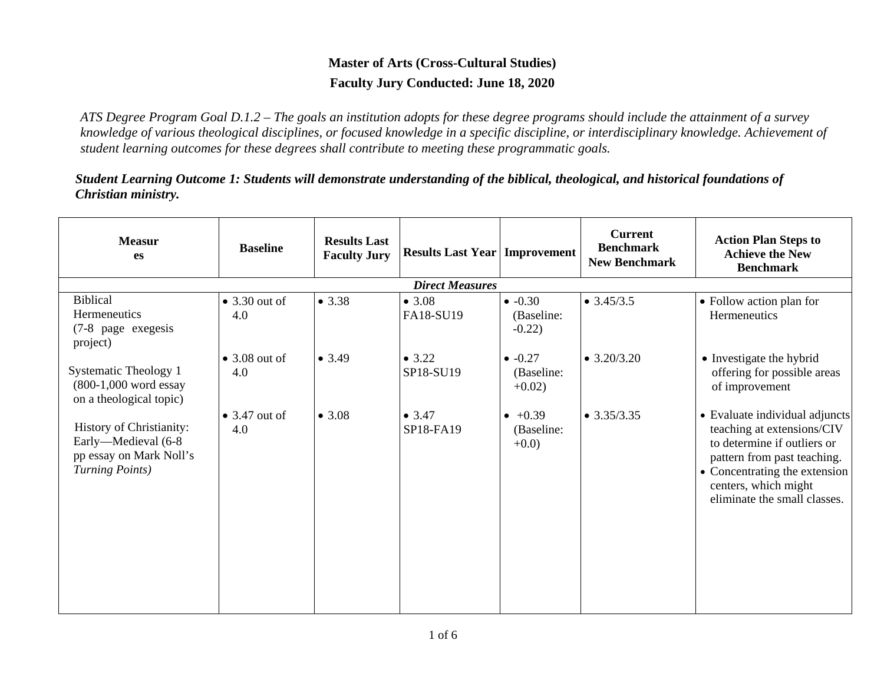## **Master of Arts (Cross-Cultural Studies) Faculty Jury Conducted: June 18, 2020**

*ATS Degree Program Goal D.1.2 – The goals an institution adopts for these degree programs should include the attainment of a survey knowledge of various theological disciplines, or focused knowledge in a specific discipline, or interdisciplinary knowledge. Achievement of student learning outcomes for these degrees shall contribute to meeting these programmatic goals.*

*Student Learning Outcome 1: Students will demonstrate understanding of the biblical, theological, and historical foundations of Christian ministry.*

| <b>Measur</b><br><b>es</b>                                                                           | <b>Baseline</b>              | <b>Results Last</b><br><b>Faculty Jury</b> | <b>Results Last Year   Improvement  </b> |                                          | <b>Current</b><br><b>Benchmark</b><br><b>New Benchmark</b> | <b>Action Plan Steps to</b><br><b>Achieve the New</b><br><b>Benchmark</b>                                                                                                                                           |  |  |  |  |
|------------------------------------------------------------------------------------------------------|------------------------------|--------------------------------------------|------------------------------------------|------------------------------------------|------------------------------------------------------------|---------------------------------------------------------------------------------------------------------------------------------------------------------------------------------------------------------------------|--|--|--|--|
|                                                                                                      | <b>Direct Measures</b>       |                                            |                                          |                                          |                                                            |                                                                                                                                                                                                                     |  |  |  |  |
| <b>Biblical</b><br>Hermeneutics<br>(7-8 page exegesis<br>project)                                    | $\bullet$ 3.30 out of<br>4.0 | • 3.38                                     | • 3.08<br>FA18-SU19                      | $\bullet$ -0.30<br>(Baseline:<br>$-0.22$ | $\bullet$ 3.45/3.5                                         | • Follow action plan for<br>Hermeneutics                                                                                                                                                                            |  |  |  |  |
| Systematic Theology 1<br>(800-1,000 word essay<br>on a theological topic)                            | $\bullet$ 3.08 out of<br>4.0 | • 3.49                                     | • 3.22<br>SP18-SU19                      | $-0.27$<br>(Baseline:<br>$+0.02$ )       | $\bullet$ 3.20/3.20                                        | • Investigate the hybrid<br>offering for possible areas<br>of improvement                                                                                                                                           |  |  |  |  |
| History of Christianity:<br>Early-Medieval (6-8<br>pp essay on Mark Noll's<br><b>Turning Points)</b> | $\bullet$ 3.47 out of<br>4.0 | • 3.08                                     | • 3.47<br>SP18-FA19                      | $+0.39$<br>(Baseline:<br>$+0.0$          | $\bullet$ 3.35/3.35                                        | • Evaluate individual adjuncts<br>teaching at extensions/CIV<br>to determine if outliers or<br>pattern from past teaching.<br>• Concentrating the extension<br>centers, which might<br>eliminate the small classes. |  |  |  |  |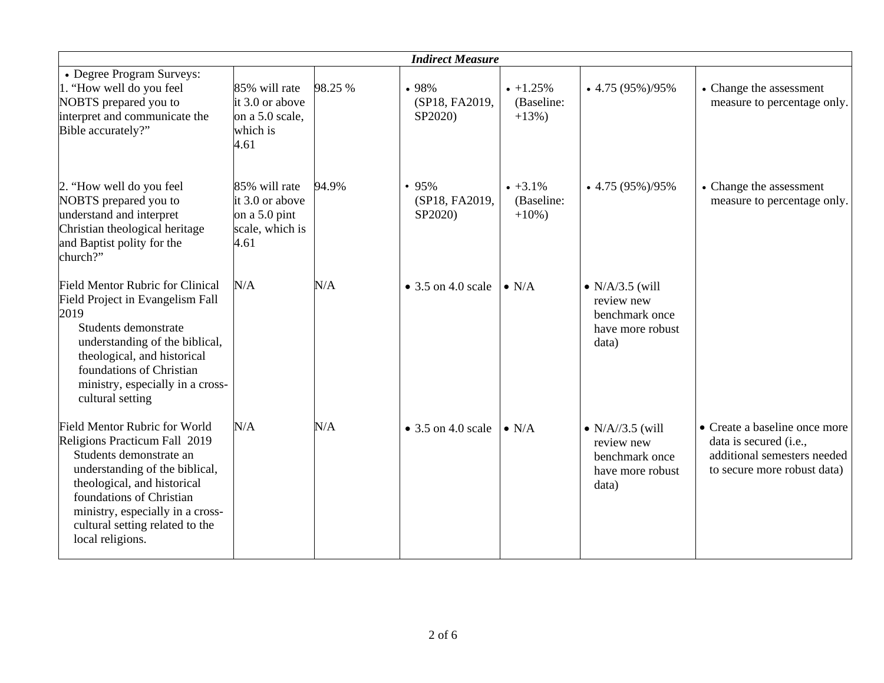|                                                                                                                                                                                                                                                                                          |                                                                                |         | <b>Indirect Measure</b>            |                                           |                                                                                       |                                                                                                                       |
|------------------------------------------------------------------------------------------------------------------------------------------------------------------------------------------------------------------------------------------------------------------------------------------|--------------------------------------------------------------------------------|---------|------------------------------------|-------------------------------------------|---------------------------------------------------------------------------------------|-----------------------------------------------------------------------------------------------------------------------|
| • Degree Program Surveys:<br>1. "How well do you feel<br>NOBTS prepared you to<br>interpret and communicate the<br>Bible accurately?"                                                                                                                                                    | 85% will rate<br>it 3.0 or above<br>on a 5.0 scale,<br>which is<br>4.61        | 98.25 % | •98%<br>(SP18, FA2019,<br>SP2020)  | $+1.25%$<br>(Baseline:<br>$+13%$ )        | $\bullet$ 4.75 (95%)/95%                                                              | • Change the assessment<br>measure to percentage only.                                                                |
| 2. "How well do you feel<br>NOBTS prepared you to<br>understand and interpret<br>Christian theological heritage<br>and Baptist polity for the<br>church?"                                                                                                                                | 85% will rate<br>$it 3.0$ or above<br>on a 5.0 pint<br>scale, which is<br>4.61 | 94.9%   | • 95%<br>(SP18, FA2019,<br>SP2020) | $\cdot +3.1\%$<br>(Baseline:<br>$+10\%$ ) | $\bullet$ 4.75 (95%)/95%                                                              | • Change the assessment<br>measure to percentage only.                                                                |
| <b>Field Mentor Rubric for Clinical</b><br>Field Project in Evangelism Fall<br>2019<br>Students demonstrate<br>understanding of the biblical,<br>theological, and historical<br>foundations of Christian<br>ministry, especially in a cross-<br>cultural setting                         | N/A                                                                            | N/A     | $\bullet$ 3.5 on 4.0 scale         | $\bullet$ N/A                             | $\bullet$ N/A/3.5 (will<br>review new<br>benchmark once<br>have more robust<br>data)  |                                                                                                                       |
| <b>Field Mentor Rubric for World</b><br>Religions Practicum Fall 2019<br>Students demonstrate an<br>understanding of the biblical,<br>theological, and historical<br>foundations of Christian<br>ministry, especially in a cross-<br>cultural setting related to the<br>local religions. | N/A                                                                            | N/A     | $\bullet$ 3.5 on 4.0 scale         | $\bullet$ N/A                             | $\bullet$ N/A//3.5 (will<br>review new<br>benchmark once<br>have more robust<br>data) | • Create a baseline once more<br>data is secured (i.e.,<br>additional semesters needed<br>to secure more robust data) |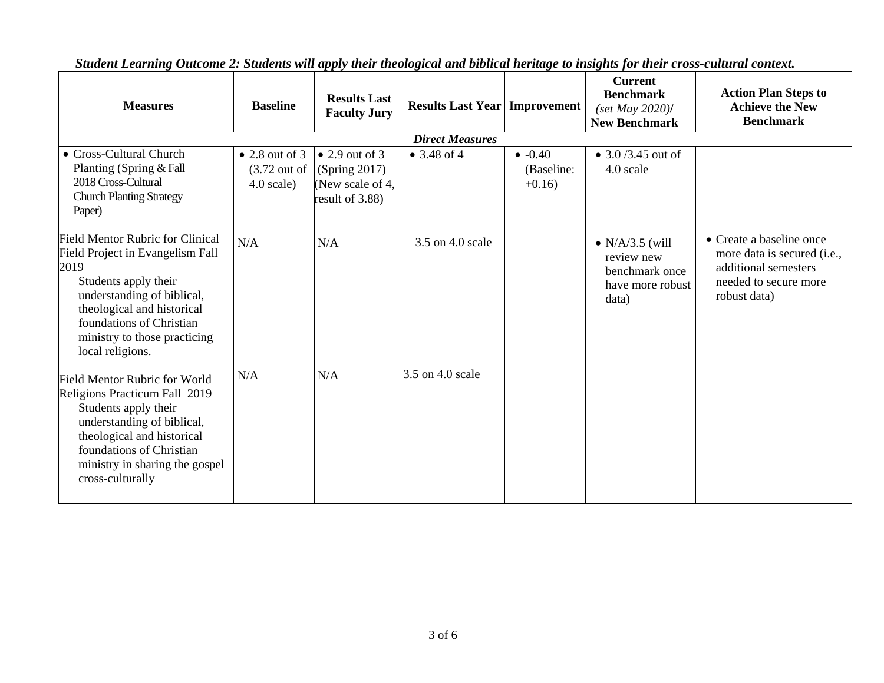| <b>Measures</b>                                                                                                                                                                                                                                         | <b>Baseline</b>                                                   | <b>Results Last</b><br><b>Faculty Jury</b>                                    | <b>Results Last Year   Improvement</b> |                                  | <b>Current</b><br><b>Benchmark</b><br>$(set$ May 2020)/<br><b>New Benchmark</b>      | <b>Action Plan Steps to</b><br><b>Achieve the New</b><br><b>Benchmark</b>                                                |
|---------------------------------------------------------------------------------------------------------------------------------------------------------------------------------------------------------------------------------------------------------|-------------------------------------------------------------------|-------------------------------------------------------------------------------|----------------------------------------|----------------------------------|--------------------------------------------------------------------------------------|--------------------------------------------------------------------------------------------------------------------------|
|                                                                                                                                                                                                                                                         |                                                                   |                                                                               | <b>Direct Measures</b>                 |                                  |                                                                                      |                                                                                                                          |
| • Cross-Cultural Church<br>Planting (Spring & Fall<br>2018 Cross-Cultural<br><b>Church Planting Strategy</b><br>Paper)                                                                                                                                  | $\bullet$ 2.8 out of 3<br>$(3.72 \text{ out of})$<br>$4.0$ scale) | $\bullet$ 2.9 out of 3<br>(Spring 2017)<br>New scale of 4,<br>result of 3.88) | • $3.48$ of 4                          | $-0.40$<br>(Baseline:<br>$+0.16$ | • $3.0 / 3.45$ out of<br>4.0 scale                                                   |                                                                                                                          |
| <b>Field Mentor Rubric for Clinical</b><br>Field Project in Evangelism Fall<br>2019<br>Students apply their<br>understanding of biblical,<br>theological and historical<br>foundations of Christian<br>ministry to those practicing<br>local religions. | N/A                                                               | N/A                                                                           | 3.5 on 4.0 scale                       |                                  | $\bullet$ N/A/3.5 (will<br>review new<br>benchmark once<br>have more robust<br>data) | • Create a baseline once<br>more data is secured (i.e.,<br>additional semesters<br>needed to secure more<br>robust data) |
| <b>Field Mentor Rubric for World</b><br>Religions Practicum Fall 2019<br>Students apply their<br>understanding of biblical,<br>theological and historical<br>foundations of Christian<br>ministry in sharing the gospel<br>cross-culturally             | N/A                                                               | N/A                                                                           | 3.5 on 4.0 scale                       |                                  |                                                                                      |                                                                                                                          |

*Student Learning Outcome 2: Students will apply their theological and biblical heritage to insights for their cross-cultural context.*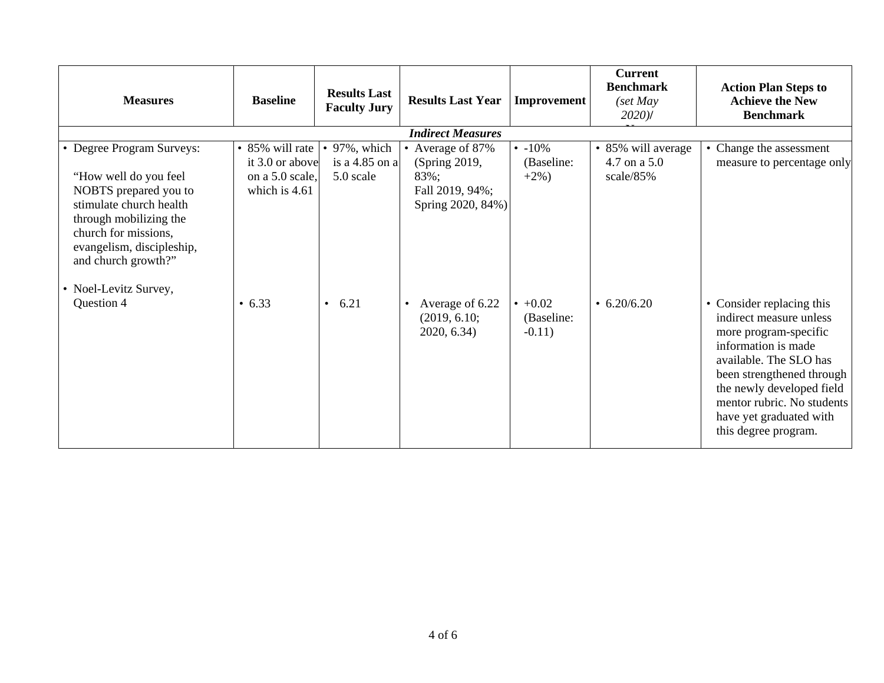| <b>Measures</b>                                                                                                                                                                                          | <b>Baseline</b>                    | <b>Results Last</b><br><b>Faculty Jury</b> | <b>Results Last Year</b>                                    | Improvement                             | <b>Current</b><br><b>Benchmark</b><br>$\int$ set May<br>$2020$ ) | <b>Action Plan Steps to</b><br><b>Achieve the New</b><br><b>Benchmark</b>                                                                                                                                                                                                 |
|----------------------------------------------------------------------------------------------------------------------------------------------------------------------------------------------------------|------------------------------------|--------------------------------------------|-------------------------------------------------------------|-----------------------------------------|------------------------------------------------------------------|---------------------------------------------------------------------------------------------------------------------------------------------------------------------------------------------------------------------------------------------------------------------------|
|                                                                                                                                                                                                          |                                    |                                            | <b>Indirect Measures</b>                                    |                                         |                                                                  |                                                                                                                                                                                                                                                                           |
| • Degree Program Surveys:                                                                                                                                                                                | • 85% will rate<br>it 3.0 or above | 97%, which<br>is a 4.85 on a               | • Average of 87%<br>(Spring 2019,                           | $\cdot$ -10%<br>(Baseline:              | • 85% will average<br>4.7 on a 5.0                               | • Change the assessment<br>measure to percentage only                                                                                                                                                                                                                     |
| "How well do you feel<br>NOBTS prepared you to<br>stimulate church health<br>through mobilizing the<br>church for missions,<br>evangelism, discipleship,<br>and church growth?"<br>• Noel-Levitz Survey, | on a 5.0 scale.<br>which is 4.61   | 5.0 scale                                  | 83%;<br>Fall 2019, 94%;<br>Spring 2020, 84%)                | $+2\%$ )                                | scale/85%                                                        |                                                                                                                                                                                                                                                                           |
| Question 4                                                                                                                                                                                               | $\cdot$ 6.33                       | 6.21<br>$\bullet$                          | Average of 6.22<br>$\bullet$<br>(2019, 6.10;<br>2020, 6.34) | $\cdot$ +0.02<br>(Baseline:<br>$-0.11)$ | $\cdot$ 6.20/6.20                                                | • Consider replacing this<br>indirect measure unless<br>more program-specific<br>information is made<br>available. The SLO has<br>been strengthened through<br>the newly developed field<br>mentor rubric. No students<br>have yet graduated with<br>this degree program. |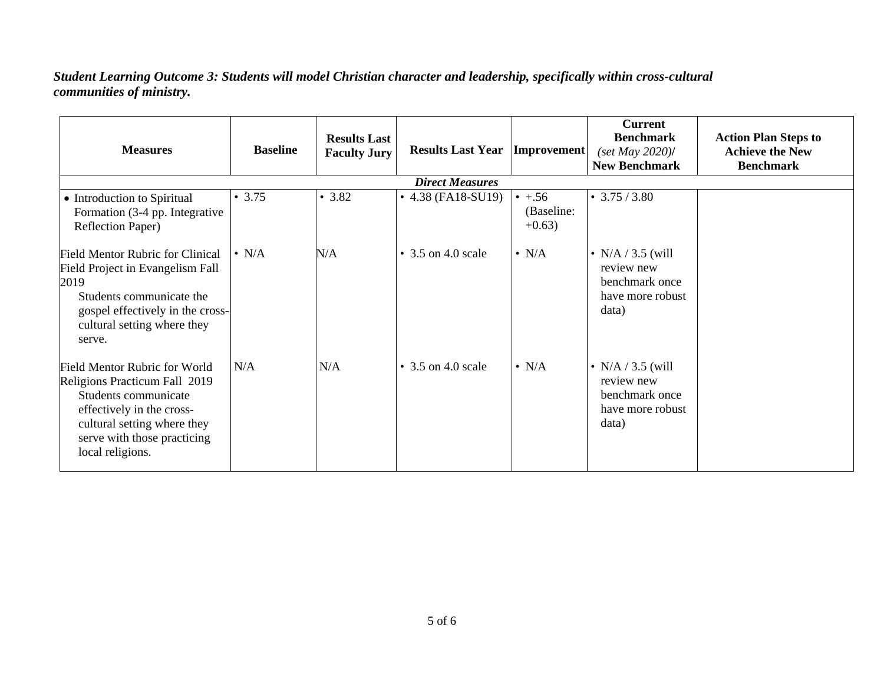## *Student Learning Outcome 3: Students will model Christian character and leadership, specifically within cross-cultural communities of ministry.*

| <b>Measures</b>                                                                                                                                                                                              | <b>Baseline</b> | <b>Results Last</b><br><b>Faculty Jury</b> | <b>Results Last Year  Improvement </b> |                                         | <b>Current</b><br><b>Benchmark</b><br>$(set$ May 2020)/<br><b>New Benchmark</b>  | <b>Action Plan Steps to</b><br><b>Achieve the New</b><br><b>Benchmark</b> |
|--------------------------------------------------------------------------------------------------------------------------------------------------------------------------------------------------------------|-----------------|--------------------------------------------|----------------------------------------|-----------------------------------------|----------------------------------------------------------------------------------|---------------------------------------------------------------------------|
|                                                                                                                                                                                                              |                 |                                            | <b>Direct Measures</b>                 |                                         |                                                                                  |                                                                           |
| • Introduction to Spiritual<br>Formation (3-4 pp. Integrative<br>Reflection Paper)                                                                                                                           | • 3.75          | • 3.82                                     | $\bullet$ 4.38 (FA18-SU19)             | $\cdot + .56$<br>(Baseline:<br>$+0.63)$ | $\cdot$ 3.75 / 3.80                                                              |                                                                           |
| <b>Field Mentor Rubric for Clinical</b><br>Field Project in Evangelism Fall<br>2019<br>Students communicate the<br>gospel effectively in the cross-<br>cultural setting where they<br>serve.                 | $\bullet$ N/A   | N/A                                        | $\bullet$ 3.5 on 4.0 scale             | $\bullet$ N/A                           | • N/A $/$ 3.5 (will<br>review new<br>benchmark once<br>have more robust<br>data) |                                                                           |
| <b>Field Mentor Rubric for World</b><br>Religions Practicum Fall 2019<br>Students communicate<br>effectively in the cross-<br>cultural setting where they<br>serve with those practicing<br>local religions. | N/A             | N/A                                        | $\bullet$ 3.5 on 4.0 scale             | $\cdot$ N/A                             | • N/A $/$ 3.5 (will<br>review new<br>benchmark once<br>have more robust<br>data) |                                                                           |